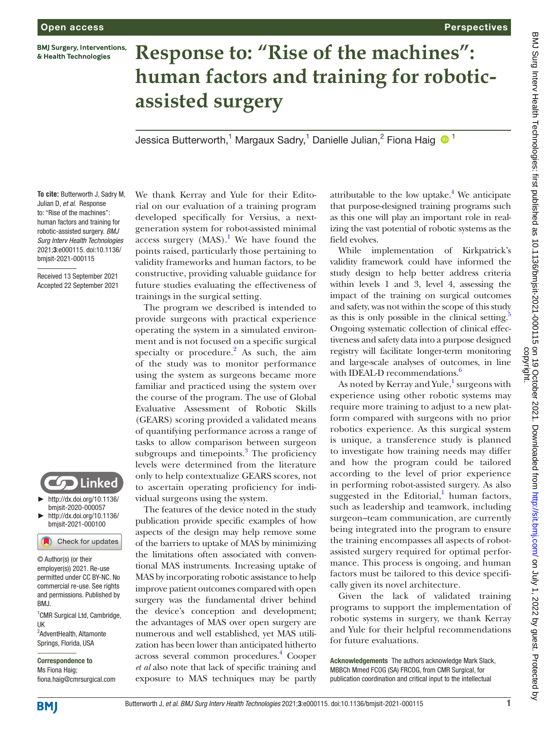**BMJ Surgery, Interventions,** & Health Technologies

## **Response to: "Rise of the machines": human factors and training for roboticassisted surgery**

Jessica Butterworth,<sup>1</sup> Margaux Sadry,<sup>1</sup> Danielle Julian,<sup>2</sup> Fiona Haig  $\bullet$  <sup>1</sup>

**To cite:** Butterworth J, Sadry M, Julian D, *et al*. Response to: "Rise of the machines": human factors and training for robotic-assisted surgery. *BMJ Surg Interv Health Technologies* 2021;3:e000115. doi:10.1136/ bmjsit-2021-000115

Received 13 September 2021 Accepted 22 September 2021



► [http://dx.doi.org/10.1136/](http://​dx.​doi.​org/​10.​1136/bmjsit-2020-000057) [bmjsit-2020-000057](http://​dx.​doi.​org/​10.​1136/bmjsit-2020-000057)

► [http://dx.doi.org/10.1136/](http://​dx.​doi.​org/​10.​1136/bmjsit-2021-000100) [bmjsit-2021-000100](http://​dx.​doi.​org/​10.​1136/bmjsit-2021-000100)

Check for updates

© Author(s) (or their employer(s)) 2021. Re-use permitted under CC BY-NC. No commercial re-use. See rights and permissions. Published by BMJ.

<sup>1</sup> CMR Surgical Ltd, Cambridge, UK <sup>2</sup>AdventHealth, Altamonte

Springs, Florida, USA

Correspondence to Ms Fiona Haig; fiona.haig@cmrsurgical.com We thank Kerray and Yule for their Editorial on our evaluation of a training program developed specifically for Versius, a nextgeneration system for robot-assisted minimal access surgery  $(MAS)^{1}$  $(MAS)^{1}$  $(MAS)^{1}$ . We have found the points raised, particularly those pertaining to validity frameworks and human factors, to be constructive, providing valuable guidance for future studies evaluating the effectiveness of trainings in the surgical setting.

The program we described is intended to provide surgeons with practical experience operating the system in a simulated environment and is not focused on a specific surgical specialty or procedure. $^{2}$  $^{2}$  $^{2}$  As such, the aim of the study was to monitor performance using the system as surgeons became more familiar and practiced using the system over the course of the program. The use of Global Evaluative Assessment of Robotic Skills (GEARS) scoring provided a validated means of quantifying performance across a range of tasks to allow comparison between surgeon subgroups and timepoints. $3$  The proficiency levels were determined from the literature only to help contextualize GEARS scores, not to ascertain operating proficiency for individual surgeons using the system.

The features of the device noted in the study publication provide specific examples of how aspects of the design may help remove some of the barriers to uptake of MAS by minimizing the limitations often associated with conventional MAS instruments. Increasing uptake of MAS by incorporating robotic assistance to help improve patient outcomes compared with open surgery was the fundamental driver behind the device's conception and development; the advantages of MAS over open surgery are numerous and well established, yet MAS utilization has been lower than anticipated hitherto across several common procedures.<sup>4</sup> Cooper *et al* also note that lack of specific training and exposure to MAS techniques may be partly

attributable to the low uptake. $4$  We anticipate that purpose-designed training programs such as this one will play an important role in realizing the vast potential of robotic systems as the field evolves.

Perspectives

While implementation of Kirkpatrick's validity framework could have informed the study design to help better address criteria within levels 1 and 3, level 4, assessing the impact of the training on surgical outcomes and safety, was not within the scope of this study as this is only possible in the clinical setting. $5$ Ongoing systematic collection of clinical effectiveness and safety data into a purpose designed registry will facilitate longer-term monitoring and large-scale analyses of outcomes, in line with IDEAL-D recommendations.<sup>6</sup>

As noted by Kerray and Yule,<sup>[1](#page-1-0)</sup> surgeons with experience using other robotic systems may require more training to adjust to a new platform compared with surgeons with no prior robotics experience. As this surgical system is unique, a transference study is planned to investigate how training needs may differ and how the program could be tailored according to the level of prior experience in performing robot-assisted surgery. As also suggested in the Editorial, $\frac{1}{1}$  $\frac{1}{1}$  $\frac{1}{1}$  human factors, such as leadership and teamwork, including surgeon–team communication, are currently being integrated into the program to ensure the training encompasses all aspects of robotassisted surgery required for optimal performance. This process is ongoing, and human factors must be tailored to this device specifically given its novel architecture.

Given the lack of validated training programs to support the implementation of robotic systems in surgery, we thank Kerray and Yule for their helpful recommendations for future evaluations.

Acknowledgements The authors acknowledge Mark Slack, MBBCh Mmed FCOG (SA) FRCOG, from CMR Surgical, for publication coordination and critical input to the intellectual